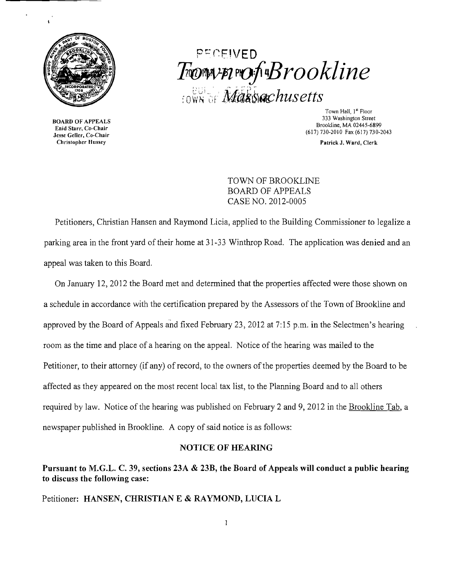

BOARD OF APPEALS Enid Starr, Co-Chair Jesse Geller, Co-Chair Christopher II usse}'

# pr:- (~EIVED PI(l)WfJl pO!rB*rookline*  $\frac{100}{1000}$  of Massachusetts

Town Hall, 1" Floor 333 Washington Street Brookline, MA 02445-6899 (617) 730-2010 Fax (617) 730-2043

Patrick J. Ward, Clerk

TOWN OF BROOKLINE BOARD OF APPEALS CASE NO. 2012-0005

Petitioners, Christian Hansen and Raymond Licia, applied to the Building Commissioner to legalize a parking area in the front yard of their home at 31-33 Winthrop Road. The application was denied and an appeal was taken to this Board.

On January 12,2012 the Board met and determined that the properties affected were those shown on a schedule in accordance with the certification prepared by the Assessors of the Town of Brookline and approved by the Board of Appeals and fixed February 23,2012 at 7: 15 p.m. in the Selectmen's hearing room as the time and place of a hearing on the appeal. Notice of the hearing was mailed to the Petitioner, to their attorney (if any) of record, to the owners of the properties deemed by the Board to be affected as they appeared on the most recent local tax list, to the Planning Board and to all others required by law. Notice of the hearing was published on February 2 and 9, 2012 in the Brookline Tab, a newspaper published in Brookline. A copy of said notice is as follows:

### NOTICE OF HEARING

## Pursuant to M.G.L. C. 39, sections 23A & 23B, the Board of Appeals will conduct a public hearing to discuss the following case:

Petitioner: HANSEN, CHRISTIAN E & RAYMOND, LUCIA L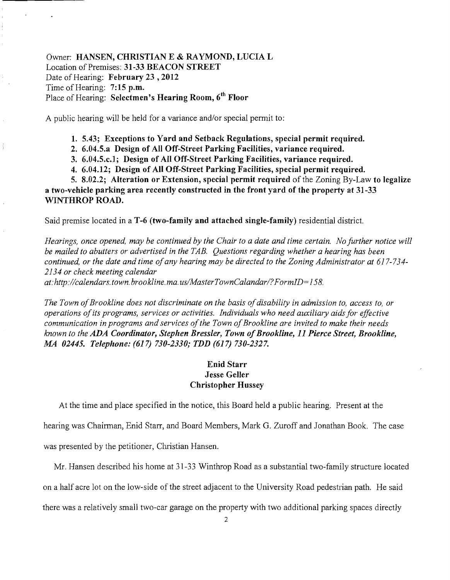Owner: HANSEN, CHRISTIAN E & RAYMOND, LUCIA L Location of Premises: 31-33 BEACON STREET Date of Hearing: February 23, 2012 Time of Hearing: 7:15 p.m. Place of Hearing: Selectmen's Hearing Room, 6<sup>th</sup> Floor

A public hearing will be held for a variance and/or special permit to:

1. 5.43; Exceptions to Yard and Setback Regulations, special permit required.

2. 6.04.5.a Design of All Off-Street Parking Facilities, variance required.

3. 6.04.5.c.1; Design of All Off-Street Parking Facilities, variance required.

4. 6.04.12; Design of All Off-Street Parking Facilities, special permit required.

5. 8.02.2; Alteration or Extension, special permit required of the Zoning By-Law to legalize a two-vehicle parking area recently constructed in the front yard of the property at 31-33 WINTHROP ROAD.

Said premise located in a T-6 (two-family and attached single-family) residential district.

*Hearings, once opened, may be continued by the Chair to a date and time certain. No further notice will be mailed to abutters or advertised in the TAB. Questions regarding whether a hearing has been continued, or the date and time ofany hearing may be directed to the Zoning Administrator at 617-734 2134 or check meeting calendar at: http://calendars.town.brookline.ma.usIMasterTownCalandarl?FormID=158.* 

The Town of Brookline does not discriminate on the basis of disability in admission to, access to, or *operations ofits programs, services or activities. Individuals who need auxiliary aids for effective communication in programs and services of the Town of Brookline are invited to make their needs known to the ADA Coordinator, Stephen Bressler, Town ofBrookline,* 11 *Pierce Street, Brookline, MA 02445. Telephone:* (617) *730-2330; TDD* (617) *730-2327.* 

## Enid Starr Jesse Geller Christopher Hussey

At the time and place specified in the notice, this Board held a public hearing. Present at the

hearing was Chairman, Enid Starr, and Board Members, Mark G. Zuroff and Jonathan Book. The case was presented by the petitioner, Christian Hansen.

Mr. Hansen described his home at 31-33 Winthrop Road as a substantial two-family structure located

on a half acre lot on the low-side of the street adjacent to the University Road pedestrian path. He said

there was a relatively small two-car garage on the property with two additional parking spaces directly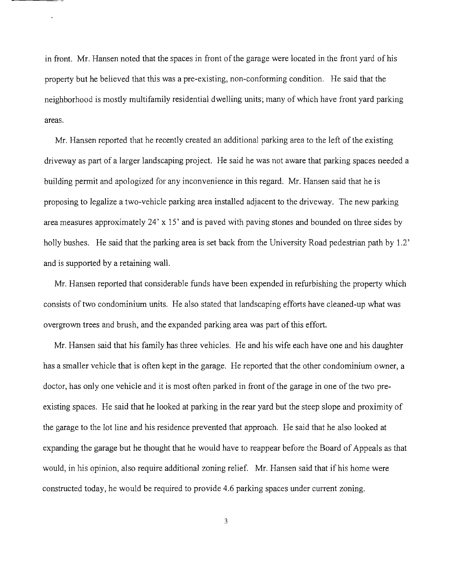in front. Mr. Hansen noted that the spaces in front of the garage were located in the front yard of his property but he believed that this was a pre-existing, non-conforming condition. He said that the neighborhood is mostly multifamily residential dwelling units; many of which have front yard parking areas.

Mr. Hansen reported that he recently created an additional parking area to the left of the existing driveway as part of a larger landscaping project. He said he was not aware that parking spaces needed a building permit and apologized for any inconvenience in this regard. Mr. Hansen said that he is proposing to legalize a two-vehicle parking area installed adjacent to the driveway. The new parking area measures approximately 24' x 15' and is paved with paving stones and bounded on three sides by holly bushes. He said that the parking area is set back from the University Road pedestrian path by 1.2' and is supported by a retaining wall.

Mr. Hansen reported that considerable funds have been expended in refurbishing the property which consists of two condominium units. He also stated that landscaping efforts have cleaned-up what was overgrown trees and brush, and the expanded parking area was part of this effort.

Mr. Hansen said that his family has three vehicles. He and his wife each have one and his daughter has a smaller vehicle that is often kept in the garage. He reported that the other condominium owner, a doctor, has only one vehicle and it is most often parked in front of the garage in one of the two preexisting spaces. He said that he looked at parking in the rear yard but the steep slope and proximity of the garage to the lot line and his residence prevented that approach. He said that he also looked at expanding the garage but he thought that he would have to reappear before the Board of Appeals as that would, in his opinion, also require additional zoning relief. Mr. Hansen said that if his home were constructed today, he would be required to provide 4.6 parking spaces under current zoning.

3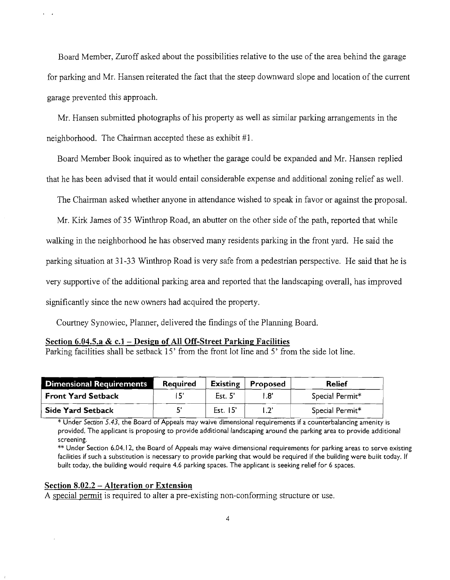Board Member, Zuroff asked about the possibilities relative to the use of the area behind the garage for parking and Mr. Hansen reiterated the fact that the steep downward slope and location of the cunent garage prevented this approach.

Mr. Hansen submitted photographs of his property as well as similar parking arrangements in the neighborhood. The Chairman accepted these as exhibit #1.

Board Member Book inquired as to whether the garage could be expanded and Mr. Hansen replied that he has been advised that it would entail considerable expense and additional zoning relief as well.

The Chairman asked whether anyone in attendance wished to speak in favor or against the proposal.

Mr. Kirk lames of 35 Winthrop Road, an abutter on the other side of the path, reported that while walking in the neighborhood he has observed many residents parking in the front yard. He said the parking situation at 31 ~33 Winthrop Road is very safe from a pedestrian perspective. He said that he is very supportive of the additional parking area and reported that the landscaping overall, has improved significantly since the new owners had acquired the property.

Courtney Synowiec, Planner, delivered the findings of the Planning Board.

#### **Section 6.04.5.a & c.l - Design of All Off-Street Parking Facilities**

Parking facilities shall be setback 15' from the front lot line and 5' from the side lot line.

| <b>Dimensional Requirements</b> | <b>Required</b> | <b>Existing</b> | Proposed    | <b>Relief</b>   |
|---------------------------------|-----------------|-----------------|-------------|-----------------|
| <b>Front Yard Setback</b>       |                 | Est. 5          | 1.8'        | Special Permit* |
| <b>Side Yard Setback</b>        |                 | Est. 15'        | $1.2^\circ$ | Special Permit* |

\* Under *Section* 5.43, the Board of Appeals may waive dimensional requirements if a counterbalancing amenity is provided. The applicant is proposing to provide additional landscaping around the parking area to provide additional screening.

\*\* Under Section 6.04.12, the Board of Appeals may waive dimensional requirements for parking areas to serve existing facilities if such a substitution is necessary to provide parking that would be required if the building were built today. If built today. the building would require 4.6 parking spaces. The applicant is seeking relief for 6 spaces.

#### **Section 8.02.2 - Alteration or Extension**

A special permit is required to alter a pre-existing non-conforming structure or use.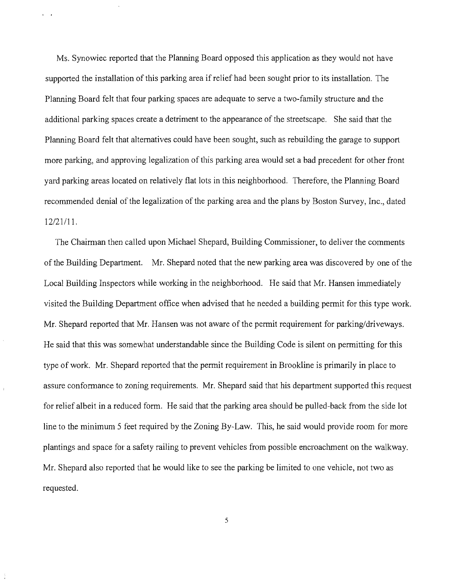Ms. Synowiec reported that the Planning Board opposed this application as they would not have supported the installation of this parking area if relief had been sought prior to its installation. The Planning Board felt that four parking spaces are adequate to serve a two-family structure and the additional parking spaces create a detriment to the appearance of the streetscape. She said that the Planning Board felt that alternatives could have been sought, such as rebuilding the garage to support more parking, and approving legalization of this parking area would set a bad precedent for other front yard parking areas located on relatively flat lots in this neighborhood. Therefore, the Planning Board recommended denial of the legalization of the parking area and the plans by Boston Survey, Inc., dated 12/21/11.

The Chairman then called upon Michael Shepard, Building Commissioner, to deliver the comments of the Building Department. Mr. Shepard noted that the new parking area was discovered by one of the Local Building Inspectors while working in the neighborhood. He said that Mr. Hansen immediately visited the Building Department office when advised that he needed a building permit for this type work. Mr. Shepard reported that Mr. Hansen was not aware of the permit requirement for parking/driveways. He said that this was somewhat understandable since the Building Code is silent on pennitting for this type of work. Mr. Shepard reported that the permit requirement in Brookline is primarily in place to assure confonnance to zoning requirements. Mr. Shepard said that his department supported this request for relief albeit in a reduced form. He said that the parking area should be pulled-back from the side lot line to the minimum 5 feet required by the Zoning By-Law. This, he said would provide room for more plantings and space for a safety railing to prevent vehicles from possible encroachment on the walkway. Mr. Shepard also reported that he would like to see the parking be limited to one vehicle, not two as requested.

5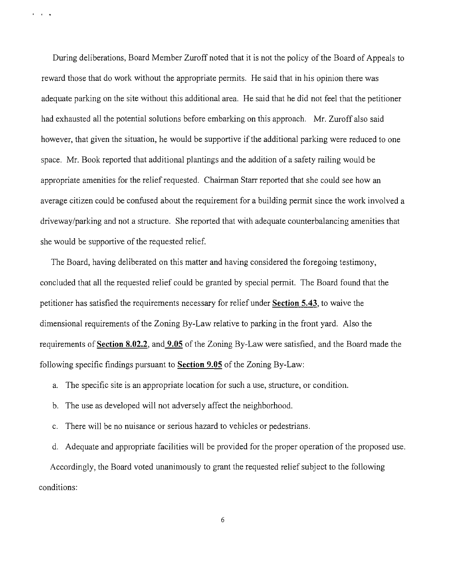During deliberations, Board Member Zuroff noted that it is not the policy of the Board of Appeals to reward those that do work without the appropriate permits. He said that in his opinion there was adequate parking on the site without this additional area. He said that he did not feel that the petitioner had exhausted all the potential solutions before embarking on this approach. Mr. Zuroff also said however, that given the situation, he would be supportive if the additional parking were reduced to one space. Mr. Book reported that additional plantings and the addition of a safety railing would be appropriate amenities for the relief requested. Chairman Starr reported that she could see how an average citizen could be confused about the requirement for a building permit since the work involved a driveway/parking and not a structure. She reported that with adequate counterbalancing amenities that she would be supportive of the requested relief.

 $\mathbf{r} = \mathbf{r} - \mathbf{a}$ 

The Board, having deliberated on this matter and having considered the foregoing testimony, concluded that all the requested relief could be granted by special permit. The Board found that the petitioner has satisfied the requirements necessary for relief under **Section 5.43,** to waive the dimensional requirements of the Zoning By-Law relative to parking in the front yard. Also the requirements of **Section 8.02.2,** and **9.05** of the Zoning By-Law were satisfied, and the Board made the following specific findings pursuant to **Section 9.05** of the Zoning By-Law:

a. The specific site is an appropriate location for such a use, structure, or condition.

- b. The use as developed will not adversely affect the neighborhood.
- c. There will be no nuisance or serious hazard to vehicles or pedestrians.

d. Adequate and appropriate facilities will be provided for the proper operation of the proposed use. Accordingly, the Board voted unanimously to grant the requested relief subject to the following conditions:

6